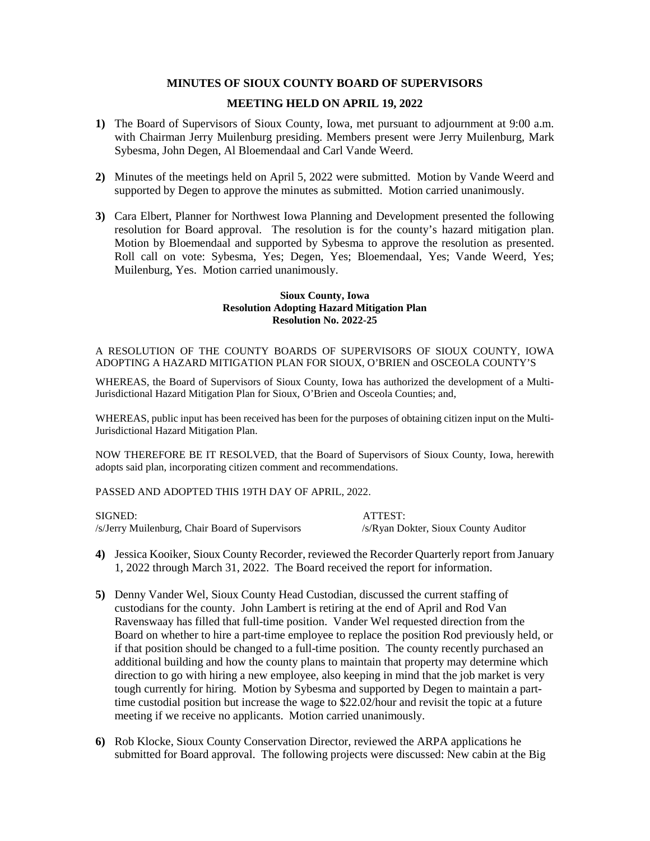# **MINUTES OF SIOUX COUNTY BOARD OF SUPERVISORS**

#### **MEETING HELD ON APRIL 19, 2022**

- **1)** The Board of Supervisors of Sioux County, Iowa, met pursuant to adjournment at 9:00 a.m. with Chairman Jerry Muilenburg presiding. Members present were Jerry Muilenburg, Mark Sybesma, John Degen, Al Bloemendaal and Carl Vande Weerd.
- **2)** Minutes of the meetings held on April 5, 2022 were submitted. Motion by Vande Weerd and supported by Degen to approve the minutes as submitted. Motion carried unanimously.
- **3)** Cara Elbert, Planner for Northwest Iowa Planning and Development presented the following resolution for Board approval. The resolution is for the county's hazard mitigation plan. Motion by Bloemendaal and supported by Sybesma to approve the resolution as presented. Roll call on vote: Sybesma, Yes; Degen, Yes; Bloemendaal, Yes; Vande Weerd, Yes; Muilenburg, Yes. Motion carried unanimously.

#### **Sioux County, Iowa Resolution Adopting Hazard Mitigation Plan Resolution No. 2022-25**

A RESOLUTION OF THE COUNTY BOARDS OF SUPERVISORS OF SIOUX COUNTY, IOWA ADOPTING A HAZARD MITIGATION PLAN FOR SIOUX, O'BRIEN and OSCEOLA COUNTY'S

WHEREAS, the Board of Supervisors of Sioux County, Iowa has authorized the development of a Multi-Jurisdictional Hazard Mitigation Plan for Sioux, O'Brien and Osceola Counties; and,

WHEREAS, public input has been received has been for the purposes of obtaining citizen input on the Multi-Jurisdictional Hazard Mitigation Plan.

NOW THEREFORE BE IT RESOLVED, that the Board of Supervisors of Sioux County, Iowa, herewith adopts said plan, incorporating citizen comment and recommendations.

PASSED AND ADOPTED THIS 19TH DAY OF APRIL, 2022.

SIGNED: ATTEST: /s/Jerry Muilenburg, Chair Board of Supervisors /s/Ryan Dokter, Sioux County Auditor

- **4)** Jessica Kooiker, Sioux County Recorder, reviewed the Recorder Quarterly report from January 1, 2022 through March 31, 2022. The Board received the report for information.
- **5)** Denny Vander Wel, Sioux County Head Custodian, discussed the current staffing of custodians for the county. John Lambert is retiring at the end of April and Rod Van Ravenswaay has filled that full-time position. Vander Wel requested direction from the Board on whether to hire a part-time employee to replace the position Rod previously held, or if that position should be changed to a full-time position. The county recently purchased an additional building and how the county plans to maintain that property may determine which direction to go with hiring a new employee, also keeping in mind that the job market is very tough currently for hiring. Motion by Sybesma and supported by Degen to maintain a parttime custodial position but increase the wage to \$22.02/hour and revisit the topic at a future meeting if we receive no applicants. Motion carried unanimously.
- **6)** Rob Klocke, Sioux County Conservation Director, reviewed the ARPA applications he submitted for Board approval. The following projects were discussed: New cabin at the Big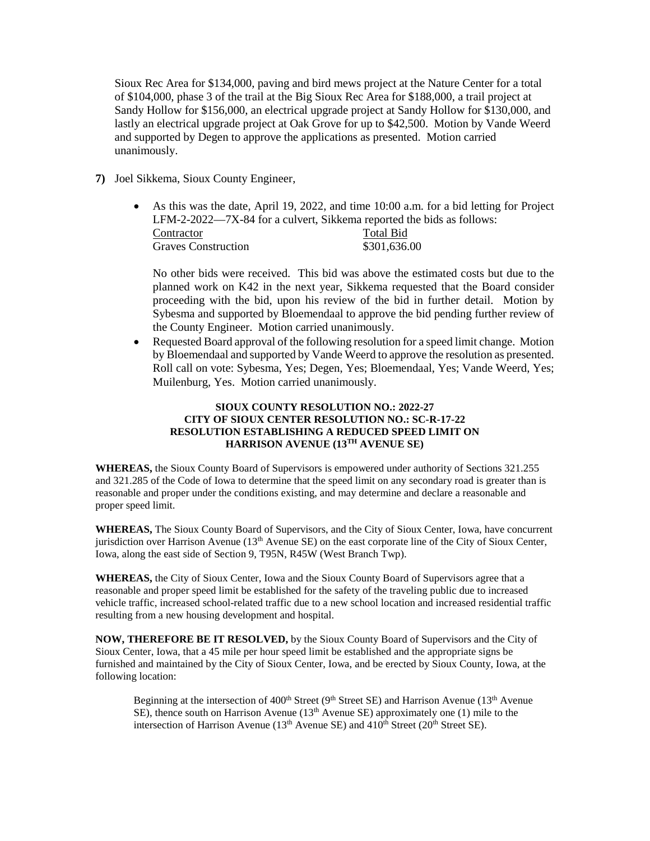Sioux Rec Area for \$134,000, paving and bird mews project at the Nature Center for a total of \$104,000, phase 3 of the trail at the Big Sioux Rec Area for \$188,000, a trail project at Sandy Hollow for \$156,000, an electrical upgrade project at Sandy Hollow for \$130,000, and lastly an electrical upgrade project at Oak Grove for up to \$42,500. Motion by Vande Weerd and supported by Degen to approve the applications as presented. Motion carried unanimously.

# **7)** Joel Sikkema, Sioux County Engineer,

• As this was the date, April 19, 2022, and time 10:00 a.m. for a bid letting for Project LFM-2-2022—7X-84 for a culvert, Sikkema reported the bids as follows: Contractor Total Bid

| <u>Communist</u>           | t vaar Dig   |
|----------------------------|--------------|
| <b>Graves Construction</b> | \$301,636.00 |
|                            |              |

No other bids were received. This bid was above the estimated costs but due to the planned work on K42 in the next year, Sikkema requested that the Board consider proceeding with the bid, upon his review of the bid in further detail. Motion by Sybesma and supported by Bloemendaal to approve the bid pending further review of the County Engineer. Motion carried unanimously.

• Requested Board approval of the following resolution for a speed limit change. Motion by Bloemendaal and supported by Vande Weerd to approve the resolution as presented. Roll call on vote: Sybesma, Yes; Degen, Yes; Bloemendaal, Yes; Vande Weerd, Yes; Muilenburg, Yes. Motion carried unanimously.

# **SIOUX COUNTY RESOLUTION NO.: 2022-27 CITY OF SIOUX CENTER RESOLUTION NO.: SC-R-17-22 RESOLUTION ESTABLISHING A REDUCED SPEED LIMIT ON HARRISON AVENUE (13TH AVENUE SE)**

**WHEREAS,** the Sioux County Board of Supervisors is empowered under authority of Sections 321.255 and 321.285 of the Code of Iowa to determine that the speed limit on any secondary road is greater than is reasonable and proper under the conditions existing, and may determine and declare a reasonable and proper speed limit.

**WHEREAS,** The Sioux County Board of Supervisors, and the City of Sioux Center, Iowa, have concurrent jurisdiction over Harrison Avenue  $(13<sup>th</sup>$  Avenue SE) on the east corporate line of the City of Sioux Center, Iowa, along the east side of Section 9, T95N, R45W (West Branch Twp).

**WHEREAS,** the City of Sioux Center, Iowa and the Sioux County Board of Supervisors agree that a reasonable and proper speed limit be established for the safety of the traveling public due to increased vehicle traffic, increased school-related traffic due to a new school location and increased residential traffic resulting from a new housing development and hospital.

**NOW, THEREFORE BE IT RESOLVED,** by the Sioux County Board of Supervisors and the City of Sioux Center, Iowa, that a 45 mile per hour speed limit be established and the appropriate signs be furnished and maintained by the City of Sioux Center, Iowa, and be erected by Sioux County, Iowa, at the following location:

Beginning at the intersection of 400<sup>th</sup> Street (9<sup>th</sup> Street SE) and Harrison Avenue (13<sup>th</sup> Avenue SE), thence south on Harrison Avenue (13<sup>th</sup> Avenue SE) approximately one (1) mile to the intersection of Harrison Avenue ( $13<sup>th</sup>$  Avenue SE) and  $410<sup>th</sup>$  Street ( $20<sup>th</sup>$  Street SE).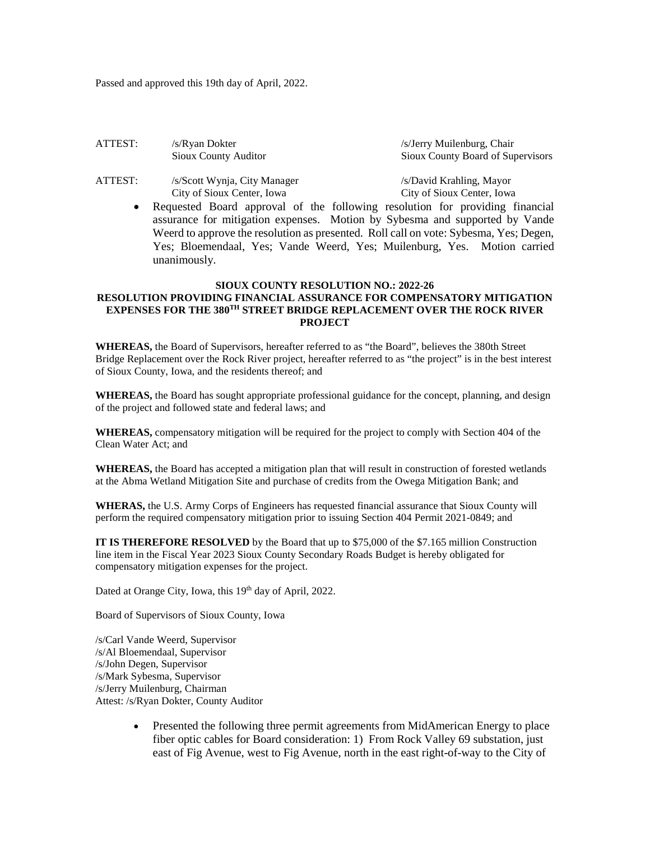Passed and approved this 19th day of April, 2022.

| ATTEST: | /s/Ryan Dokter       | /s/Jerry Muilenburg, Chair        |
|---------|----------------------|-----------------------------------|
|         | Sioux County Auditor | Sioux County Board of Supervisors |
|         | ---                  |                                   |

ATTEST: /s/Scott Wynja, City Manager /s/David Krahling, Mayor<br>City of Sioux Center, Iowa City of Sioux Center, Iowa

City of Sioux Center, Iowa

• Requested Board approval of the following resolution for providing financial assurance for mitigation expenses. Motion by Sybesma and supported by Vande Weerd to approve the resolution as presented. Roll call on vote: Sybesma, Yes; Degen, Yes; Bloemendaal, Yes; Vande Weerd, Yes; Muilenburg, Yes. Motion carried unanimously.

# **SIOUX COUNTY RESOLUTION NO.: 2022-26 RESOLUTION PROVIDING FINANCIAL ASSURANCE FOR COMPENSATORY MITIGATION EXPENSES FOR THE 380TH STREET BRIDGE REPLACEMENT OVER THE ROCK RIVER PROJECT**

**WHEREAS,** the Board of Supervisors, hereafter referred to as "the Board", believes the 380th Street Bridge Replacement over the Rock River project, hereafter referred to as "the project" is in the best interest of Sioux County, Iowa, and the residents thereof; and

**WHEREAS,** the Board has sought appropriate professional guidance for the concept, planning, and design of the project and followed state and federal laws; and

**WHEREAS,** compensatory mitigation will be required for the project to comply with Section 404 of the Clean Water Act; and

**WHEREAS,** the Board has accepted a mitigation plan that will result in construction of forested wetlands at the Abma Wetland Mitigation Site and purchase of credits from the Owega Mitigation Bank; and

**WHERAS,** the U.S. Army Corps of Engineers has requested financial assurance that Sioux County will perform the required compensatory mitigation prior to issuing Section 404 Permit 2021-0849; and

**IT IS THEREFORE RESOLVED** by the Board that up to \$75,000 of the \$7.165 million Construction line item in the Fiscal Year 2023 Sioux County Secondary Roads Budget is hereby obligated for compensatory mitigation expenses for the project.

Dated at Orange City, Iowa, this 19<sup>th</sup> day of April, 2022.

Board of Supervisors of Sioux County, Iowa

/s/Carl Vande Weerd, Supervisor /s/Al Bloemendaal, Supervisor /s/John Degen, Supervisor /s/Mark Sybesma, Supervisor /s/Jerry Muilenburg, Chairman Attest: /s/Ryan Dokter, County Auditor

> • Presented the following three permit agreements from MidAmerican Energy to place fiber optic cables for Board consideration: 1) From Rock Valley 69 substation, just east of Fig Avenue, west to Fig Avenue, north in the east right-of-way to the City of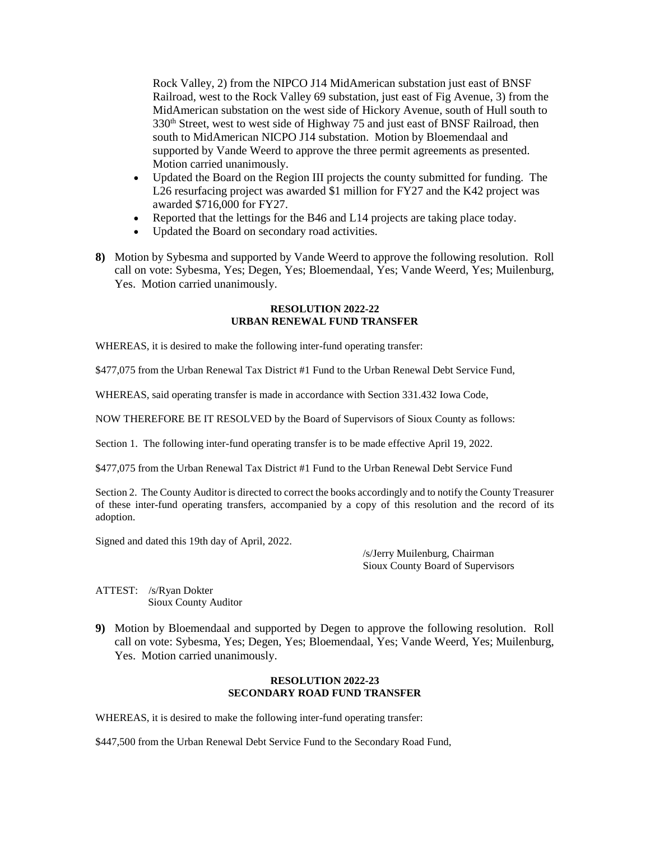Rock Valley, 2) from the NIPCO J14 MidAmerican substation just east of BNSF Railroad, west to the Rock Valley 69 substation, just east of Fig Avenue, 3) from the MidAmerican substation on the west side of Hickory Avenue, south of Hull south to 330<sup>th</sup> Street, west to west side of Highway 75 and just east of BNSF Railroad, then south to MidAmerican NICPO J14 substation. Motion by Bloemendaal and supported by Vande Weerd to approve the three permit agreements as presented. Motion carried unanimously.

- Updated the Board on the Region III projects the county submitted for funding. The L26 resurfacing project was awarded \$1 million for FY27 and the K42 project was awarded \$716,000 for FY27.
- Reported that the lettings for the B46 and L14 projects are taking place today.
- Updated the Board on secondary road activities.
- **8)** Motion by Sybesma and supported by Vande Weerd to approve the following resolution. Roll call on vote: Sybesma, Yes; Degen, Yes; Bloemendaal, Yes; Vande Weerd, Yes; Muilenburg, Yes. Motion carried unanimously.

# **RESOLUTION 2022-22 URBAN RENEWAL FUND TRANSFER**

WHEREAS, it is desired to make the following inter-fund operating transfer:

\$477,075 from the Urban Renewal Tax District #1 Fund to the Urban Renewal Debt Service Fund,

WHEREAS, said operating transfer is made in accordance with Section 331.432 Iowa Code,

NOW THEREFORE BE IT RESOLVED by the Board of Supervisors of Sioux County as follows:

Section 1. The following inter-fund operating transfer is to be made effective April 19, 2022.

\$477,075 from the Urban Renewal Tax District #1 Fund to the Urban Renewal Debt Service Fund

Section 2. The County Auditor is directed to correct the books accordingly and to notify the County Treasurer of these inter-fund operating transfers, accompanied by a copy of this resolution and the record of its adoption.

Signed and dated this 19th day of April, 2022.

/s/Jerry Muilenburg, Chairman Sioux County Board of Supervisors

ATTEST: /s/Ryan Dokter Sioux County Auditor

**9)** Motion by Bloemendaal and supported by Degen to approve the following resolution. Roll call on vote: Sybesma, Yes; Degen, Yes; Bloemendaal, Yes; Vande Weerd, Yes; Muilenburg, Yes. Motion carried unanimously.

# **RESOLUTION 2022-23 SECONDARY ROAD FUND TRANSFER**

WHEREAS, it is desired to make the following inter-fund operating transfer:

\$447,500 from the Urban Renewal Debt Service Fund to the Secondary Road Fund,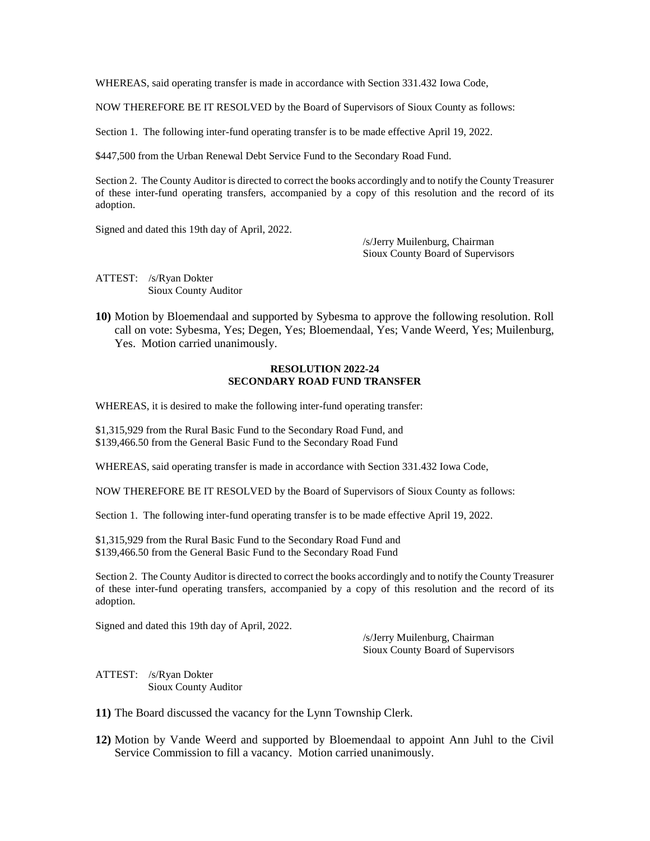WHEREAS, said operating transfer is made in accordance with Section 331.432 Iowa Code,

NOW THEREFORE BE IT RESOLVED by the Board of Supervisors of Sioux County as follows:

Section 1. The following inter-fund operating transfer is to be made effective April 19, 2022.

\$447,500 from the Urban Renewal Debt Service Fund to the Secondary Road Fund.

Section 2. The County Auditor is directed to correct the books accordingly and to notify the County Treasurer of these inter-fund operating transfers, accompanied by a copy of this resolution and the record of its adoption.

Signed and dated this 19th day of April, 2022.

/s/Jerry Muilenburg, Chairman Sioux County Board of Supervisors

ATTEST: /s/Ryan Dokter Sioux County Auditor

**10)** Motion by Bloemendaal and supported by Sybesma to approve the following resolution. Roll call on vote: Sybesma, Yes; Degen, Yes; Bloemendaal, Yes; Vande Weerd, Yes; Muilenburg, Yes. Motion carried unanimously.

#### **RESOLUTION 2022-24 SECONDARY ROAD FUND TRANSFER**

WHEREAS, it is desired to make the following inter-fund operating transfer:

\$1,315,929 from the Rural Basic Fund to the Secondary Road Fund, and \$139,466.50 from the General Basic Fund to the Secondary Road Fund

WHEREAS, said operating transfer is made in accordance with Section 331.432 Iowa Code,

NOW THEREFORE BE IT RESOLVED by the Board of Supervisors of Sioux County as follows:

Section 1. The following inter-fund operating transfer is to be made effective April 19, 2022.

\$1,315,929 from the Rural Basic Fund to the Secondary Road Fund and \$139,466.50 from the General Basic Fund to the Secondary Road Fund

Section 2. The County Auditor is directed to correct the books accordingly and to notify the County Treasurer of these inter-fund operating transfers, accompanied by a copy of this resolution and the record of its adoption.

Signed and dated this 19th day of April, 2022.

/s/Jerry Muilenburg, Chairman Sioux County Board of Supervisors

ATTEST: /s/Ryan Dokter Sioux County Auditor

**11)** The Board discussed the vacancy for the Lynn Township Clerk.

**12)** Motion by Vande Weerd and supported by Bloemendaal to appoint Ann Juhl to the Civil Service Commission to fill a vacancy. Motion carried unanimously.